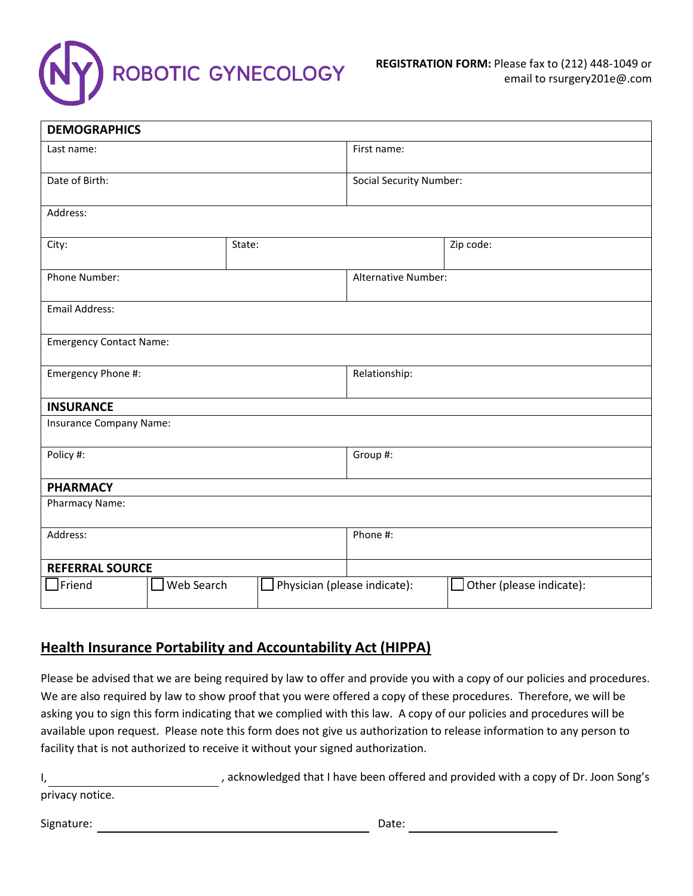

| <b>DEMOGRAPHICS</b>            |            |                              |                                |                                 |  |  |  |
|--------------------------------|------------|------------------------------|--------------------------------|---------------------------------|--|--|--|
| Last name:                     |            | First name:                  |                                |                                 |  |  |  |
| Date of Birth:                 |            |                              | <b>Social Security Number:</b> |                                 |  |  |  |
| Address:                       |            |                              |                                |                                 |  |  |  |
| City:                          | State:     |                              |                                | Zip code:                       |  |  |  |
| Phone Number:                  |            |                              | <b>Alternative Number:</b>     |                                 |  |  |  |
| <b>Email Address:</b>          |            |                              |                                |                                 |  |  |  |
| <b>Emergency Contact Name:</b> |            |                              |                                |                                 |  |  |  |
| Emergency Phone #:             |            | Relationship:                |                                |                                 |  |  |  |
| <b>INSURANCE</b>               |            |                              |                                |                                 |  |  |  |
| Insurance Company Name:        |            |                              |                                |                                 |  |  |  |
| Policy #:                      |            |                              | Group #:                       |                                 |  |  |  |
| <b>PHARMACY</b>                |            |                              |                                |                                 |  |  |  |
| Pharmacy Name:                 |            |                              |                                |                                 |  |  |  |
| Address:                       |            |                              | Phone #:                       |                                 |  |  |  |
| <b>REFERRAL SOURCE</b>         |            |                              |                                |                                 |  |  |  |
| $\Box$ Friend                  | Web Search | Physician (please indicate): |                                | $\Box$ Other (please indicate): |  |  |  |

# **Health Insurance Portability and Accountability Act (HIPPA)**

Please be advised that we are being required by law to offer and provide you with a copy of our policies and procedures. We are also required by law to show proof that you were offered a copy of these procedures. Therefore, we will be asking you to sign this form indicating that we complied with this law. A copy of our policies and procedures will be available upon request. Please note this form does not give us authorization to release information to any person to facility that is not authorized to receive it without your signed authorization.

|                 | , acknowledged that I have been offered and provided with a copy of Dr. Joon Song's |
|-----------------|-------------------------------------------------------------------------------------|
| privacy notice. |                                                                                     |

Signature: Date: Date: Date: Date: Date: Date: Date: Date: Date: Date: Date: Date: Date: Date: Date: Date: Date: Date: Date: Date: Date: Date: Date: Date: Date: Date: Date: Date: Date: Date: Date: Date: Date: Date: Date: D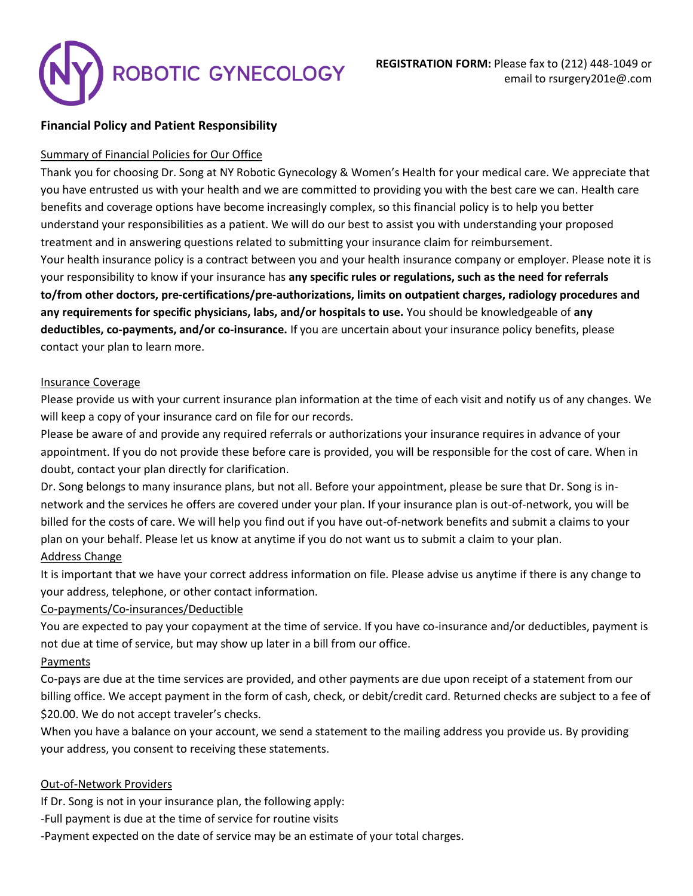# ROBOTIC GYNECOLOGY

# **Financial Policy and Patient Responsibility**

### Summary of Financial Policies for Our Office

Thank you for choosing Dr. Song at NY Robotic Gynecology & Women's Health for your medical care. We appreciate that you have entrusted us with your health and we are committed to providing you with the best care we can. Health care benefits and coverage options have become increasingly complex, so this financial policy is to help you better understand your responsibilities as a patient. We will do our best to assist you with understanding your proposed treatment and in answering questions related to submitting your insurance claim for reimbursement. Your health insurance policy is a contract between you and your health insurance company or employer. Please note it is your responsibility to know if your insurance has **any specific rules or regulations, such as the need for referrals to/from other doctors, pre-certifications/pre-authorizations, limits on outpatient charges, radiology procedures and any requirements for specific physicians, labs, and/or hospitals to use.** You should be knowledgeable of **any deductibles, co-payments, and/or co-insurance.** If you are uncertain about your insurance policy benefits, please contact your plan to learn more.

### Insurance Coverage

Please provide us with your current insurance plan information at the time of each visit and notify us of any changes. We will keep a copy of your insurance card on file for our records.

Please be aware of and provide any required referrals or authorizations your insurance requires in advance of your appointment. If you do not provide these before care is provided, you will be responsible for the cost of care. When in doubt, contact your plan directly for clarification.

Dr. Song belongs to many insurance plans, but not all. Before your appointment, please be sure that Dr. Song is innetwork and the services he offers are covered under your plan. If your insurance plan is out-of-network, you will be billed for the costs of care. We will help you find out if you have out-of-network benefits and submit a claims to your plan on your behalf. Please let us know at anytime if you do not want us to submit a claim to your plan. Address Change

It is important that we have your correct address information on file. Please advise us anytime if there is any change to your address, telephone, or other contact information.

# Co-payments/Co-insurances/Deductible

You are expected to pay your copayment at the time of service. If you have co-insurance and/or deductibles, payment is not due at time of service, but may show up later in a bill from our office.

# Payments

Co-pays are due at the time services are provided, and other payments are due upon receipt of a statement from our billing office. We accept payment in the form of cash, check, or debit/credit card. Returned checks are subject to a fee of \$20.00. We do not accept traveler's checks.

When you have a balance on your account, we send a statement to the mailing address you provide us. By providing your address, you consent to receiving these statements.

### Out-of-Network Providers

If Dr. Song is not in your insurance plan, the following apply:

-Full payment is due at the time of service for routine visits

-Payment expected on the date of service may be an estimate of your total charges.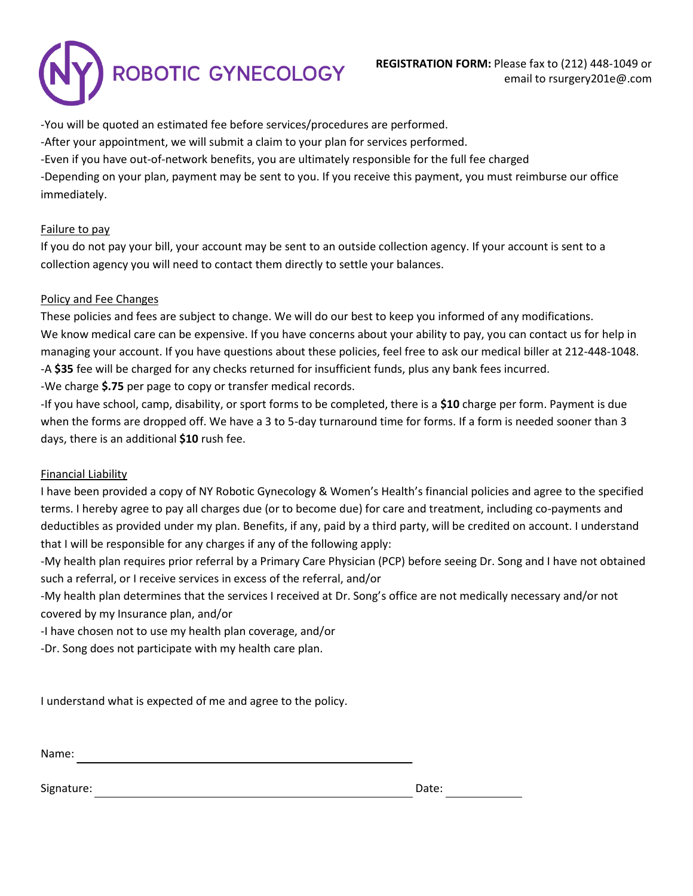

-You will be quoted an estimated fee before services/procedures are performed.

-After your appointment, we will submit a claim to your plan for services performed.

-Even if you have out-of-network benefits, you are ultimately responsible for the full fee charged

-Depending on your plan, payment may be sent to you. If you receive this payment, you must reimburse our office immediately.

### Failure to pay

If you do not pay your bill, your account may be sent to an outside collection agency. If your account is sent to a collection agency you will need to contact them directly to settle your balances.

### Policy and Fee Changes

These policies and fees are subject to change. We will do our best to keep you informed of any modifications. We know medical care can be expensive. If you have concerns about your ability to pay, you can contact us for help in managing your account. If you have questions about these policies, feel free to ask our medical biller at 212-448-1048. -A **\$35** fee will be charged for any checks returned for insufficient funds, plus any bank fees incurred. -We charge **\$.75** per page to copy or transfer medical records.

-If you have school, camp, disability, or sport forms to be completed, there is a **\$10** charge per form. Payment is due

when the forms are dropped off. We have a 3 to 5-day turnaround time for forms. If a form is needed sooner than 3 days, there is an additional **\$10** rush fee.

# Financial Liability

I have been provided a copy of NY Robotic Gynecology & Women's Health's financial policies and agree to the specified terms. I hereby agree to pay all charges due (or to become due) for care and treatment, including co-payments and deductibles as provided under my plan. Benefits, if any, paid by a third party, will be credited on account. I understand that I will be responsible for any charges if any of the following apply:

-My health plan requires prior referral by a Primary Care Physician (PCP) before seeing Dr. Song and I have not obtained such a referral, or I receive services in excess of the referral, and/or

-My health plan determines that the services I received at Dr. Song's office are not medically necessary and/or not covered by my Insurance plan, and/or

-I have chosen not to use my health plan coverage, and/or

-Dr. Song does not participate with my health care plan.

I understand what is expected of me and agree to the policy.

Name:

Signature: Date: Date: Date: Date: Date: Date: Date: Date: Date: Date: Date: Date: Date: Date: Date: Date: Date: Date: Date: Date: Date: Date: Date: Date: Date: Date: Date: Date: Date: Date: Date: Date: Date: Date: Date: D